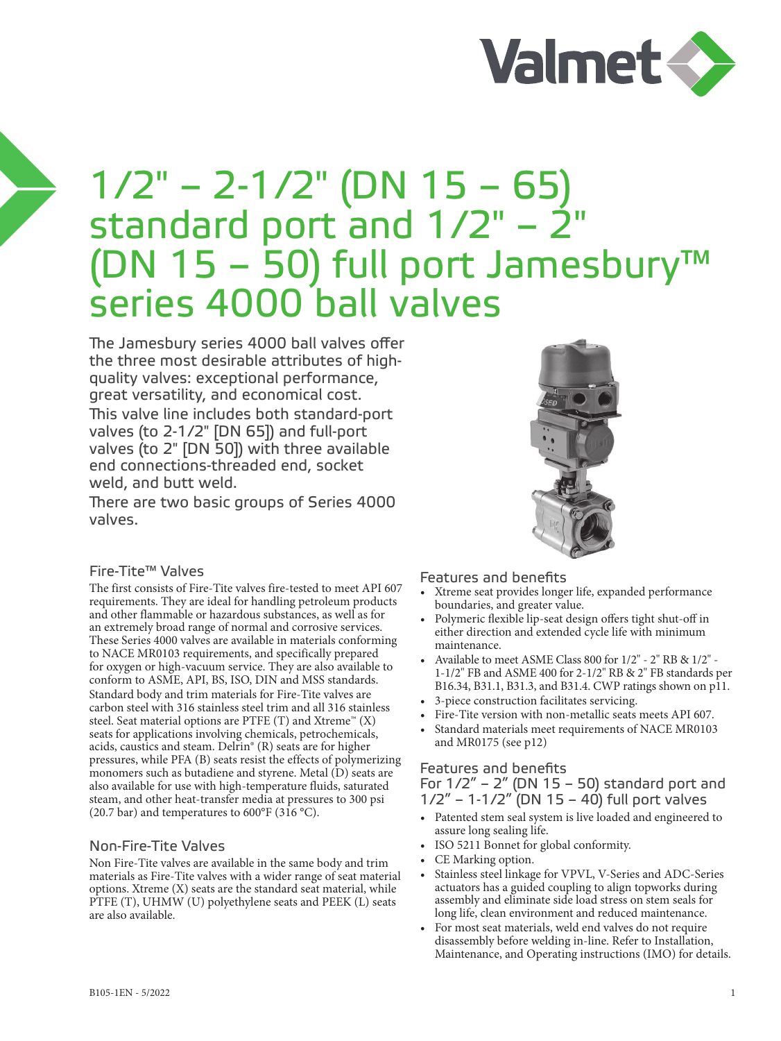

# 1/2" – 2-1/2" (DN 15 – 65) standard port and  $1/2"$  –  $2"$ (DN 15 – 50) full port Jamesbury™ series 4000 ball valves

The Jamesbury series 4000 ball valves offer the three most desirable attributes of highquality valves: exceptional performance, great versatility, and economical cost. This valve line includes both standard-port valves (to 2-1/2" [DN 65]) and full-port valves (to 2" [DN 50]) with three available end connections-threaded end, socket weld, and butt weld.

There are two basic groups of Series 4000 valves.

# Fire-Tite™ Valves

The first consists of Fire-Tite valves fire-tested to meet API 607 requirements. They are ideal for handling petroleum products and other flammable or hazardous substances, as well as for an extremely broad range of normal and corrosive services. These Series 4000 valves are available in materials conforming to NACE MR0103 requirements, and specifically prepared for oxygen or high-vacuum service. They are also available to conform to ASME, API, BS, ISO, DIN and MSS standards. Standard body and trim materials for Fire-Tite valves are carbon steel with 316 stainless steel trim and all 316 stainless steel. Seat material options are PTFE  $(T)$  and Xtreme<sup>™</sup>  $(X)$ seats for applications involving chemicals, petrochemicals, acids, caustics and steam. Delrin® (R) seats are for higher pressures, while PFA (B) seats resist the effects of polymerizing monomers such as butadiene and styrene. Metal (D) seats are also available for use with high-temperature fluids, saturated steam, and other heat-transfer media at pressures to 300 psi (20.7 bar) and temperatures to  $600^{\circ}$ F (316 °C).

### Non-Fire-Tite Valves

Non Fire-Tite valves are available in the same body and trim materials as Fire-Tite valves with a wider range of seat material options. Xtreme (X) seats are the standard seat material, while PTFE (T), UHMW (U) polyethylene seats and PEEK (L) seats are also available.

### Features and benefits

- Xtreme seat provides longer life, expanded performance boundaries, and greater value.
- Polymeric flexible lip-seat design offers tight shut-off in either direction and extended cycle life with minimum maintenance.
- Available to meet ASME Class 800 for 1/2" 2" RB & 1/2" 1-1/2" FB and ASME 400 for 2-1/2" RB & 2" FB standards per B16.34, B31.1, B31.3, and B31.4. CWP ratings shown on p11.
- 3-piece construction facilitates servicing.
- Fire-Tite version with non-metallic seats meets API 607.
- Standard materials meet requirements of NACE MR0103 and MR0175 (see p12)

# Features and benefits

For 1/2" – 2" (DN 15 – 50) standard port and 1/2" – 1-1/2" (DN 15 – 40) full port valves

- Patented stem seal system is live loaded and engineered to assure long sealing life.
- ISO 5211 Bonnet for global conformity.
- CE Marking option.
- Stainless steel linkage for VPVL, V-Series and ADC-Series actuators has a guided coupling to align topworks during assembly and eliminate side load stress on stem seals for long life, clean environment and reduced maintenance.
- For most seat materials, weld end valves do not require disassembly before welding in-line. Refer to Installation, Maintenance, and Operating instructions (IMO) for details.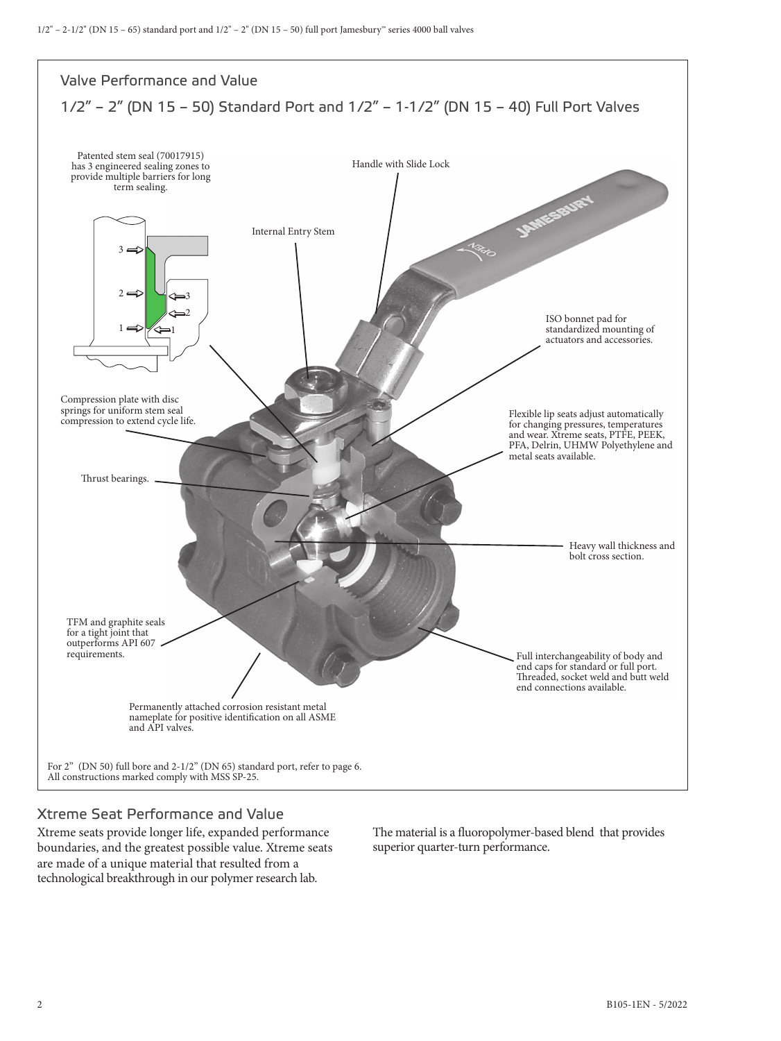

# Xtreme Seat Performance and Value

Xtreme seats provide longer life, expanded performance boundaries, and the greatest possible value. Xtreme seats are made of a unique material that resulted from a technological breakthrough in our polymer research lab.

The material is a fluoropolymer-based blend that provides superior quarter-turn performance.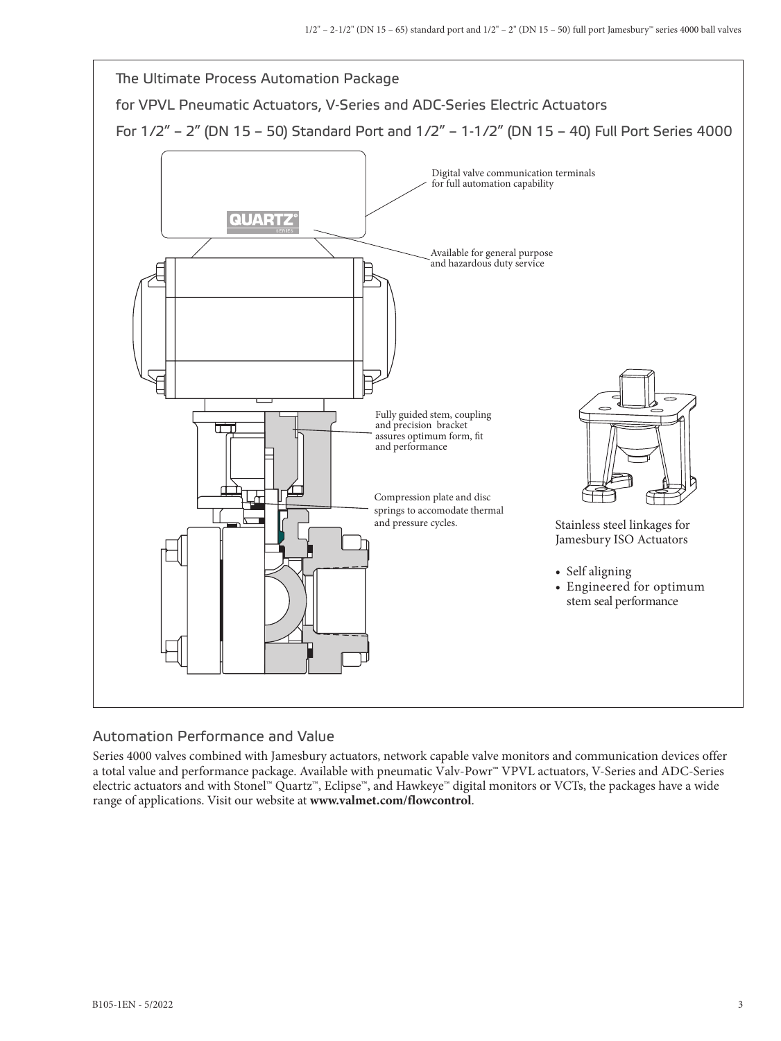

### Automation Performance and Value

Series 4000 valves combined with Jamesbury actuators, network capable valve monitors and communication devices offer a total value and performance package. Available with pneumatic Valv-Powr™ VPVL actuators, V-Series and ADC-Series electric actuators and with Stonel™ Quartz™, Eclipse™, and Hawkeye™ digital monitors or VCTs, the packages have a wide range of applications. Visit our website at **www.valmet.com/flowcontrol**.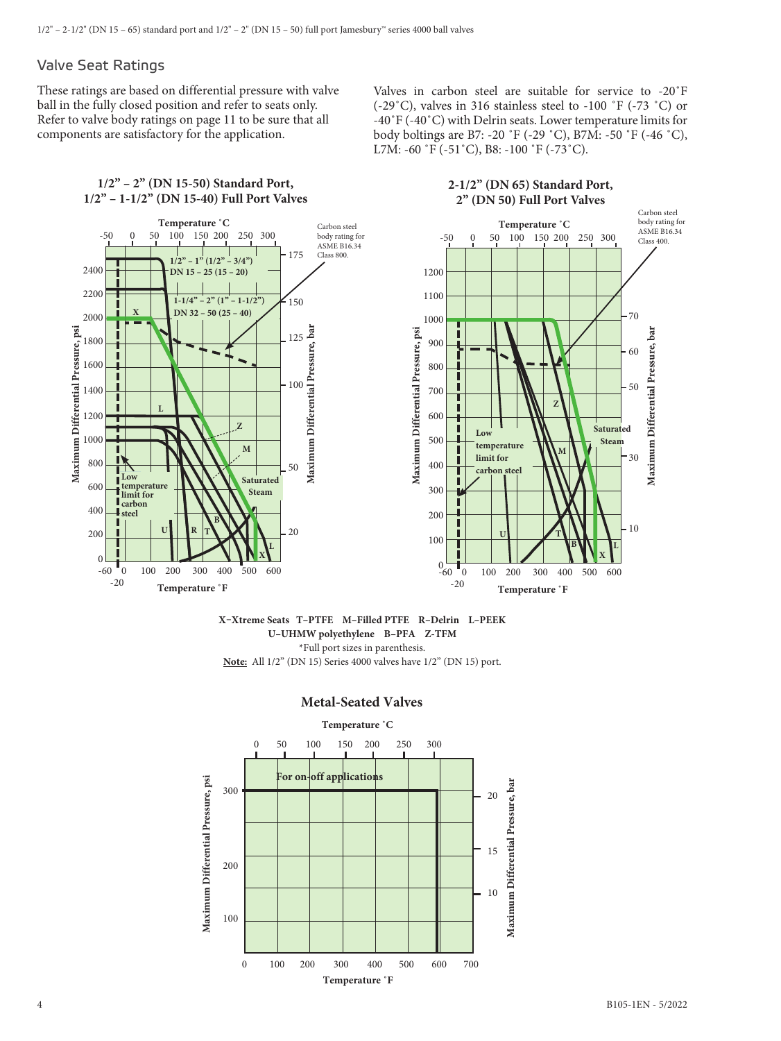### Valve Seat Ratings

These ratings are based on differential pressure with valve ball in the fully closed position and refer to seats only. Refer to valve body ratings on page 11 to be sure that all components are satisfactory for the application.

Valves in carbon steel are suitable for service to -20˚F (-29˚C), valves in 316 stainless steel to -100 ˚F (-73 ˚C) or -40˚F (-40˚C) with Delrin seats. Lower temperature limits for body boltings are B7: -20 ˚F (-29 ˚C), B7M: -50 ˚F (-46 ˚C), L7M: -60 ˚F (-51˚C), B8: -100 ˚F (-73˚C).

#### **1/2" – 2" (DN 15-50) Standard Port, 1/2" – 1-1/2" (DN 15-40) Full Port Valves**





#### **X–Xtreme Seats T–PTFE M–Filled PTFE R–Delrin L–PEEK U–UHMW polyethylene B–PFA Z-TFM** \*Full port sizes in parenthesis. **Note:** All 1/2" (DN 15) Series 4000 valves have 1/2" (DN 15) port.



#### **Metal-Seated Valves**

**Maximum Differential Pressure, bar**

Maximum Differential Pressure,

bar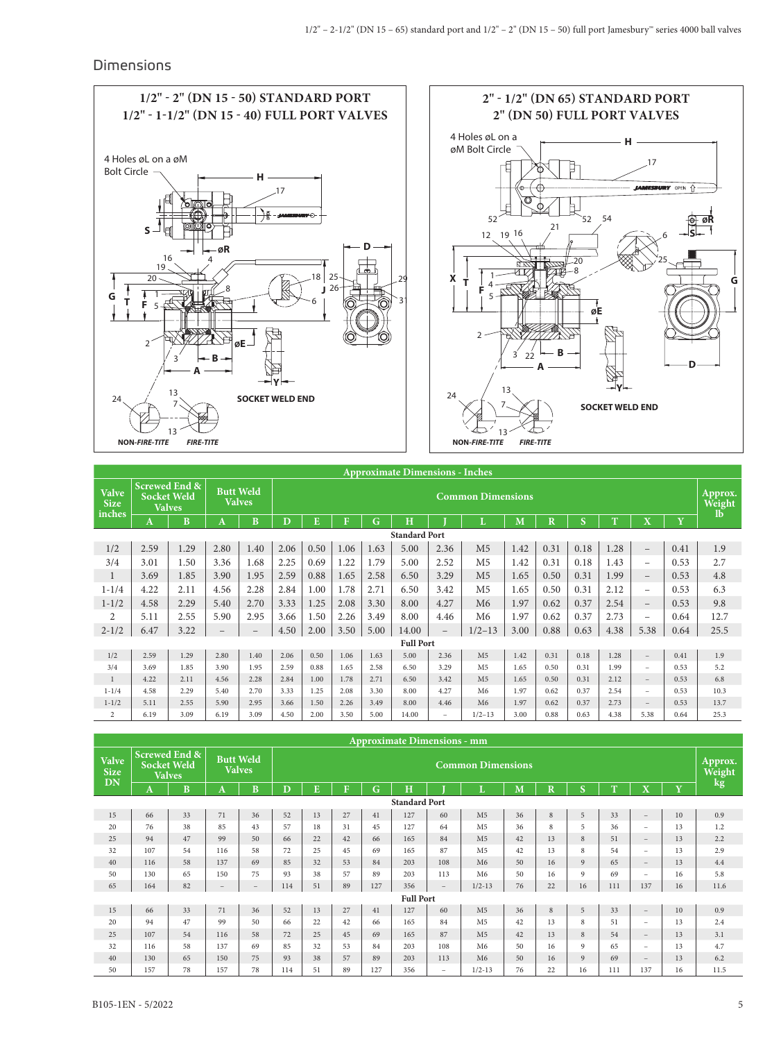### Dimensions



|                                       | <b>Approximate Dimensions - Inches</b> |                                                                 |                          |                                   |      |                          |      |      |                  |                          |                |      |                                    |      |      |                          |      |      |
|---------------------------------------|----------------------------------------|-----------------------------------------------------------------|--------------------------|-----------------------------------|------|--------------------------|------|------|------------------|--------------------------|----------------|------|------------------------------------|------|------|--------------------------|------|------|
| <b>Valve</b><br><b>Size</b><br>inches |                                        | <b>Screwed End &amp;</b><br><b>Socket Weld</b><br><b>Valves</b> |                          | <b>Butt Weld</b><br><b>Valves</b> |      | <b>Common Dimensions</b> |      |      |                  |                          |                |      | Approx.<br>Weight<br>$\mathbf{lb}$ |      |      |                          |      |      |
|                                       | A                                      | B                                                               | A                        | <sub>B</sub>                      | D    | E                        | F    | G    | H                |                          | T.             | M    | $\overline{\mathbf{R}}$            | S    | T    | $\overline{\mathbf{X}}$  | Y    |      |
| <b>Standard Port</b>                  |                                        |                                                                 |                          |                                   |      |                          |      |      |                  |                          |                |      |                                    |      |      |                          |      |      |
| 1/2                                   | 2.59                                   | 1.29                                                            | 2.80                     | 1.40                              | 2.06 | 0.50                     | 1.06 | 1.63 | 5.00             | 2.36                     | M <sub>5</sub> | 1.42 | 0.31                               | 0.18 | 1.28 | $\qquad \qquad -$        | 0.41 | 1.9  |
| 3/4                                   | 3.01                                   | 1.50                                                            | 3.36                     | 1.68                              | 2.25 | 0.69                     | 1.22 | 1.79 | 5.00             | 2.52                     | M <sub>5</sub> | 1.42 | 0.31                               | 0.18 | 1.43 | -                        | 0.53 | 2.7  |
| $\mathbf{1}$                          | 3.69                                   | 1.85                                                            | 3.90                     | 1.95                              | 2.59 | 0.88                     | 1.65 | 2.58 | 6.50             | 3.29                     | M <sub>5</sub> | 1.65 | 0.50                               | 0.31 | 1.99 | $\overline{\phantom{0}}$ | 0.53 | 4.8  |
| $1 - 1/4$                             | 4.22                                   | 2.11                                                            | 4.56                     | 2.28                              | 2.84 | 1.00                     | 1.78 | 2.71 | 6.50             | 3.42                     | M <sub>5</sub> | 1.65 | 0.50                               | 0.31 | 2.12 | -                        | 0.53 | 6.3  |
| $1 - 1/2$                             | 4.58                                   | 2.29                                                            | 5.40                     | 2.70                              | 3.33 | 1.25                     | 2.08 | 3.30 | 8.00             | 4.27                     | M <sub>6</sub> | 1.97 | 0.62                               | 0.37 | 2.54 | $\qquad \qquad -$        | 0.53 | 9.8  |
| $\overline{2}$                        | 5.11                                   | 2.55                                                            | 5.90                     | 2.95                              | 3.66 | 1.50                     | 2.26 | 3.49 | 8.00             | 4.46                     | M <sub>6</sub> | 1.97 | 0.62                               | 0.37 | 2.73 | -                        | 0.64 | 12.7 |
| $2 - 1/2$                             | 6.47                                   | 3.22                                                            | $\overline{\phantom{0}}$ |                                   | 4.50 | 2.00                     | 3.50 | 5.00 | 14.00            | $\overline{\phantom{0}}$ | $1/2 - 13$     | 3.00 | 0.88                               | 0.63 | 4.38 | 5.38                     | 0.64 | 25.5 |
|                                       |                                        |                                                                 |                          |                                   |      |                          |      |      | <b>Full Port</b> |                          |                |      |                                    |      |      |                          |      |      |
| 1/2                                   | 2.59                                   | 1.29                                                            | 2.80                     | 1.40                              | 2.06 | 0.50                     | 1.06 | 1.63 | 5.00             | 2.36                     | M <sub>5</sub> | 1.42 | 0.31                               | 0.18 | 1.28 | $\qquad \qquad -$        | 0.41 | 1.9  |
| 3/4                                   | 3.69                                   | 1.85                                                            | 3.90                     | 1.95                              | 2.59 | 0.88                     | 1.65 | 2.58 | 6.50             | 3.29                     | M <sub>5</sub> | 1.65 | 0.50                               | 0.31 | 1.99 | -                        | 0.53 | 5.2  |
| $\mathbf{1}$                          | 4.22                                   | 2.11                                                            | 4.56                     | 2.28                              | 2.84 | 1.00                     | 1.78 | 2.71 | 6.50             | 3.42                     | M <sub>5</sub> | 1.65 | 0.50                               | 0.31 | 2.12 | $-$                      | 0.53 | 6.8  |
| $1 - 1/4$                             | 4.58                                   | 2.29                                                            | 5.40                     | 2.70                              | 3.33 | 1.25                     | 2.08 | 3.30 | 8.00             | 4.27                     | M <sub>6</sub> | 1.97 | 0.62                               | 0.37 | 2.54 | $-$                      | 0.53 | 10.3 |
| $1 - 1/2$                             | 5.11                                   | 2.55                                                            | 5.90                     | 2.95                              | 3.66 | 1.50                     | 2.26 | 3.49 | 8.00             | 4.46                     | M <sub>6</sub> | 1.97 | 0.62                               | 0.37 | 2.73 | $\qquad \qquad -$        | 0.53 | 13.7 |
| $\overline{2}$                        | 6.19                                   | 3.09                                                            | 6.19                     | 3.09                              | 4.50 | 2.00                     | 3.50 | 5.00 | 14.00            | $\overline{\phantom{0}}$ | $1/2 - 13$     | 3.00 | 0.88                               | 0.63 | 4.38 | 5.38                     | 0.64 | 25.3 |

|                                          |     |                                                                 |     |                                   |     |                          |              |     | <b>Approximate Dimensions - mm</b> |                          |                |    |                         |                   |     |                          |    |        |
|------------------------------------------|-----|-----------------------------------------------------------------|-----|-----------------------------------|-----|--------------------------|--------------|-----|------------------------------------|--------------------------|----------------|----|-------------------------|-------------------|-----|--------------------------|----|--------|
| <b>Valve</b><br><b>Size</b><br><b>DN</b> |     | <b>Screwed End &amp;</b><br><b>Socket Weld</b><br><b>Valves</b> |     | <b>Butt Weld</b><br><b>Valves</b> |     | <b>Common Dimensions</b> |              |     |                                    |                          |                |    |                         | Approx.<br>Weight |     |                          |    |        |
|                                          | A   | B                                                               | A   | B                                 | D   | E                        | $\mathbf{F}$ | G   | H                                  |                          |                | M  | $\overline{\mathbf{R}}$ | S                 | T   | $\mathbf X$              | Y  | $\log$ |
|                                          |     |                                                                 |     |                                   |     |                          |              |     | <b>Standard Port</b>               |                          |                |    |                         |                   |     |                          |    |        |
| 15                                       | 66  | 33                                                              | 71  | 36                                | 52  | 13                       | 27           | 41  | 127                                | 60                       | M <sub>5</sub> | 36 | 8                       | 5                 | 33  | $\overline{\phantom{m}}$ | 10 | 0.9    |
| 20                                       | 76  | 38                                                              | 85  | 43                                | 57  | 18                       | 31           | 45  | 127                                | 64                       | M <sub>5</sub> | 36 | 8                       | 5                 | 36  | Ξ.                       | 13 | 1.2    |
| 25                                       | 94  | 47                                                              | 99  | 50                                | 66  | 22                       | 42           | 66  | 165                                | 84                       | M <sub>5</sub> | 42 | 13                      | 8                 | 51  | $\qquad \qquad -$        | 13 | 2.2    |
| 32                                       | 107 | 54                                                              | 116 | 58                                | 72  | 25                       | 45           | 69  | 165                                | 87                       | M <sub>5</sub> | 42 | 13                      | 8                 | 54  | Ξ.                       | 13 | 2.9    |
| 40                                       | 116 | 58                                                              | 137 | 69                                | 85  | 32                       | 53           | 84  | 203                                | 108                      | M6             | 50 | 16                      | 9                 | 65  | $\qquad \qquad -$        | 13 | 4.4    |
| 50                                       | 130 | 65                                                              | 150 | 75                                | 93  | 38                       | 57           | 89  | 203                                | 113                      | M6             | 50 | 16                      | 9                 | 69  | $-$                      | 16 | 5.8    |
| 65                                       | 164 | 82                                                              |     |                                   | 114 | 51                       | 89           | 127 | 356                                | $\overline{\phantom{a}}$ | $1/2 - 13$     | 76 | 22                      | 16                | 111 | 137                      | 16 | 11.6   |
|                                          |     |                                                                 |     |                                   |     |                          |              |     | <b>Full Port</b>                   |                          |                |    |                         |                   |     |                          |    |        |
| 15                                       | 66  | 33                                                              | 71  | 36                                | 52  | 13                       | 27           | 41  | 127                                | 60                       | M <sub>5</sub> | 36 | 8                       | 5                 | 33  | $\qquad \qquad -$        | 10 | 0.9    |
| 20                                       | 94  | 47                                                              | 99  | 50                                | 66  | 22                       | 42           | 66  | 165                                | 84                       | M <sub>5</sub> | 42 | 13                      | 8                 | 51  | $-$                      | 13 | 2.4    |
| 25                                       | 107 | 54                                                              | 116 | 58                                | 72  | 25                       | 45           | 69  | 165                                | 87                       | M <sub>5</sub> | 42 | 13                      | 8                 | 54  | $\overline{\phantom{a}}$ | 13 | 3.1    |
| 32                                       | 116 | 58                                                              | 137 | 69                                | 85  | 32                       | 53           | 84  | 203                                | 108                      | M6             | 50 | 16                      | 9                 | 65  | Ξ.                       | 13 | 4.7    |
| 40                                       | 130 | 65                                                              | 150 | 75                                | 93  | 38                       | 57           | 89  | 203                                | 113                      | M6             | 50 | 16                      | 9                 | 69  | $\qquad \qquad -$        | 13 | 6.2    |
| 50                                       | 157 | 78                                                              | 157 | 78                                | 114 | 51                       | 89           | 127 | 356                                | $\sim$                   | $1/2 - 13$     | 76 | 22                      | 16                | 111 | 137                      | 16 | 11.5   |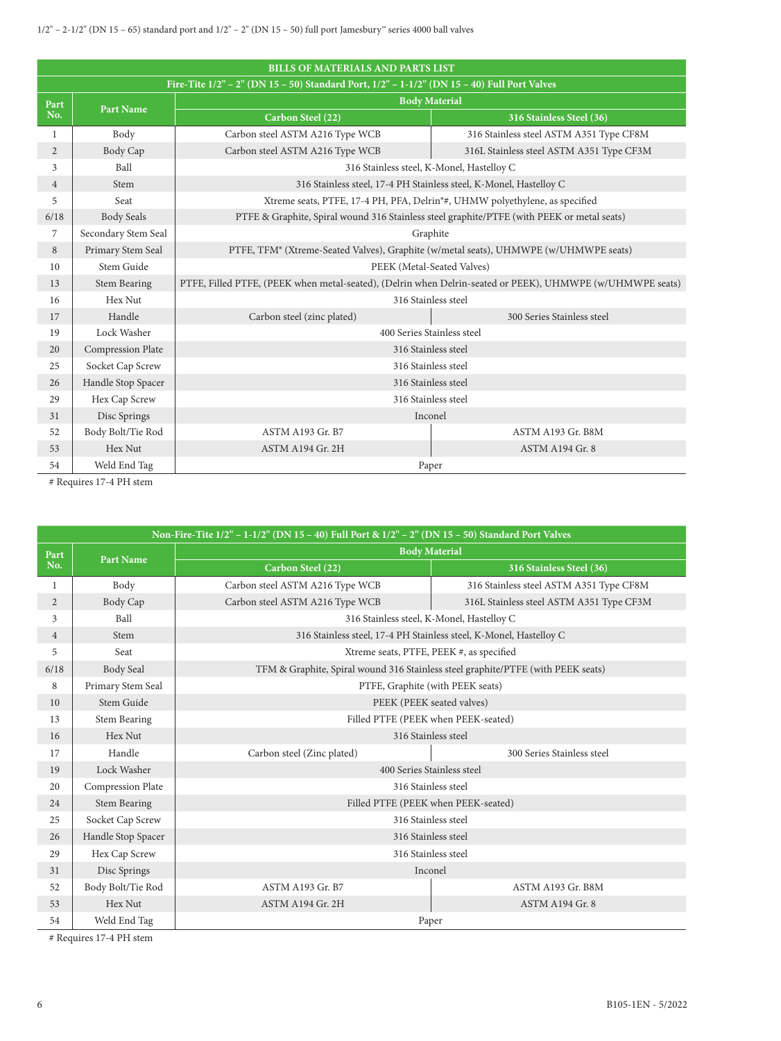|                | <b>BILLS OF MATERIALS AND PARTS LIST</b>                                                    |                                                                                          |                                                                                                           |  |  |  |  |  |  |
|----------------|---------------------------------------------------------------------------------------------|------------------------------------------------------------------------------------------|-----------------------------------------------------------------------------------------------------------|--|--|--|--|--|--|
|                | Fire-Tite 1/2" – 2" (DN 15 – 50) Standard Port, 1/2" – 1-1/2" (DN 15 – 40) Full Port Valves |                                                                                          |                                                                                                           |  |  |  |  |  |  |
| Part           | <b>Part Name</b>                                                                            | <b>Body Material</b>                                                                     |                                                                                                           |  |  |  |  |  |  |
| No.            |                                                                                             | Carbon Steel (22)                                                                        | 316 Stainless Steel (36)                                                                                  |  |  |  |  |  |  |
| 1              | Body                                                                                        | Carbon steel ASTM A216 Type WCB                                                          | 316 Stainless steel ASTM A351 Type CF8M                                                                   |  |  |  |  |  |  |
| $\overline{2}$ | Body Cap                                                                                    | Carbon steel ASTM A216 Type WCB                                                          | 316L Stainless steel ASTM A351 Type CF3M                                                                  |  |  |  |  |  |  |
| 3              | Ball                                                                                        |                                                                                          | 316 Stainless steel, K-Monel, Hastelloy C                                                                 |  |  |  |  |  |  |
| $\overline{4}$ | Stem                                                                                        |                                                                                          | 316 Stainless steel, 17-4 PH Stainless steel, K-Monel, Hastelloy C                                        |  |  |  |  |  |  |
| 5              | Seat                                                                                        | Xtreme seats, PTFE, 17-4 PH, PFA, Delrin <sup>®#</sup> , UHMW polyethylene, as specified |                                                                                                           |  |  |  |  |  |  |
| 6/18           | <b>Body Seals</b>                                                                           |                                                                                          | PTFE & Graphite, Spiral wound 316 Stainless steel graphite/PTFE (with PEEK or metal seats)                |  |  |  |  |  |  |
| 7              | Secondary Stem Seal                                                                         | Graphite                                                                                 |                                                                                                           |  |  |  |  |  |  |
| 8              | Primary Stem Seal                                                                           | PTFE, TFM® (Xtreme-Seated Valves), Graphite (w/metal seats), UHMWPE (w/UHMWPE seats)     |                                                                                                           |  |  |  |  |  |  |
| 10             | Stem Guide                                                                                  | PEEK (Metal-Seated Valves)                                                               |                                                                                                           |  |  |  |  |  |  |
| 13             | <b>Stem Bearing</b>                                                                         |                                                                                          | PTFE, Filled PTFE, (PEEK when metal-seated), (Delrin when Delrin-seated or PEEK), UHMWPE (w/UHMWPE seats) |  |  |  |  |  |  |
| 16             | Hex Nut                                                                                     |                                                                                          | 316 Stainless steel                                                                                       |  |  |  |  |  |  |
| 17             | Handle                                                                                      | Carbon steel (zinc plated)                                                               | 300 Series Stainless steel                                                                                |  |  |  |  |  |  |
| 19             | Lock Washer                                                                                 | 400 Series Stainless steel                                                               |                                                                                                           |  |  |  |  |  |  |
| 20             | Compression Plate                                                                           |                                                                                          | 316 Stainless steel                                                                                       |  |  |  |  |  |  |
| 25             | Socket Cap Screw                                                                            |                                                                                          | 316 Stainless steel                                                                                       |  |  |  |  |  |  |
| 26             | Handle Stop Spacer                                                                          |                                                                                          | 316 Stainless steel                                                                                       |  |  |  |  |  |  |
| 29             | Hex Cap Screw                                                                               |                                                                                          | 316 Stainless steel                                                                                       |  |  |  |  |  |  |
| 31             | Disc Springs                                                                                | Inconel                                                                                  |                                                                                                           |  |  |  |  |  |  |
| 52             | Body Bolt/Tie Rod                                                                           | <b>ASTM A193 Gr. B7</b>                                                                  | ASTM A193 Gr. B8M                                                                                         |  |  |  |  |  |  |
| 53             | Hex Nut                                                                                     | ASTM A194 Gr. 2H                                                                         | ASTM A194 Gr. 8                                                                                           |  |  |  |  |  |  |
| 54             | Weld End Tag                                                                                |                                                                                          | Paper                                                                                                     |  |  |  |  |  |  |

# Requires 17-4 PH stem

|                | Non-Fire-Tite 1/2" – 1-1/2" (DN 15 – 40) Full Port & 1/2" – 2" (DN 15 – 50) Standard Port Valves |                                                                                  |                                          |  |  |  |  |  |
|----------------|--------------------------------------------------------------------------------------------------|----------------------------------------------------------------------------------|------------------------------------------|--|--|--|--|--|
| Part           | <b>Part Name</b>                                                                                 | <b>Body Material</b>                                                             |                                          |  |  |  |  |  |
| No.            |                                                                                                  | Carbon Steel (22)                                                                | 316 Stainless Steel (36)                 |  |  |  |  |  |
| $\mathbf{1}$   | Body                                                                                             | Carbon steel ASTM A216 Type WCB                                                  | 316 Stainless steel ASTM A351 Type CF8M  |  |  |  |  |  |
| $\overline{2}$ | Body Cap                                                                                         | Carbon steel ASTM A216 Type WCB                                                  | 316L Stainless steel ASTM A351 Type CF3M |  |  |  |  |  |
| 3              | Ball                                                                                             | 316 Stainless steel, K-Monel, Hastelloy C                                        |                                          |  |  |  |  |  |
| $\overline{4}$ | Stem                                                                                             | 316 Stainless steel, 17-4 PH Stainless steel, K-Monel, Hastelloy C               |                                          |  |  |  |  |  |
| 5              | Seat                                                                                             | Xtreme seats, PTFE, PEEK #, as specified                                         |                                          |  |  |  |  |  |
| 6/18           | Body Seal                                                                                        | TFM & Graphite, Spiral wound 316 Stainless steel graphite/PTFE (with PEEK seats) |                                          |  |  |  |  |  |
| 8              | Primary Stem Seal                                                                                |                                                                                  | PTFE, Graphite (with PEEK seats)         |  |  |  |  |  |
| 10             | Stem Guide                                                                                       | PEEK (PEEK seated valves)                                                        |                                          |  |  |  |  |  |
| 13             | <b>Stem Bearing</b>                                                                              |                                                                                  | Filled PTFE (PEEK when PEEK-seated)      |  |  |  |  |  |
| 16             | Hex Nut                                                                                          | 316 Stainless steel                                                              |                                          |  |  |  |  |  |
| 17             | Handle                                                                                           | Carbon steel (Zinc plated)                                                       | 300 Series Stainless steel               |  |  |  |  |  |
| 19             | Lock Washer                                                                                      | 400 Series Stainless steel                                                       |                                          |  |  |  |  |  |
| 20             | Compression Plate                                                                                | 316 Stainless steel                                                              |                                          |  |  |  |  |  |
| 24             | <b>Stem Bearing</b>                                                                              | Filled PTFE (PEEK when PEEK-seated)                                              |                                          |  |  |  |  |  |
| 25             | Socket Cap Screw                                                                                 | 316 Stainless steel                                                              |                                          |  |  |  |  |  |
| 26             | Handle Stop Spacer                                                                               | 316 Stainless steel                                                              |                                          |  |  |  |  |  |
| 29             | Hex Cap Screw                                                                                    |                                                                                  | 316 Stainless steel                      |  |  |  |  |  |
| 31             | Disc Springs                                                                                     |                                                                                  | Inconel                                  |  |  |  |  |  |
| 52             | Body Bolt/Tie Rod                                                                                | ASTM A193 Gr. B7                                                                 | ASTM A193 Gr. B8M                        |  |  |  |  |  |
| 53             | Hex Nut                                                                                          | ASTM A194 Gr. 2H                                                                 | ASTM A194 Gr. 8                          |  |  |  |  |  |
| 54             | Weld End Tag                                                                                     |                                                                                  | Paper                                    |  |  |  |  |  |

# Requires 17-4 PH stem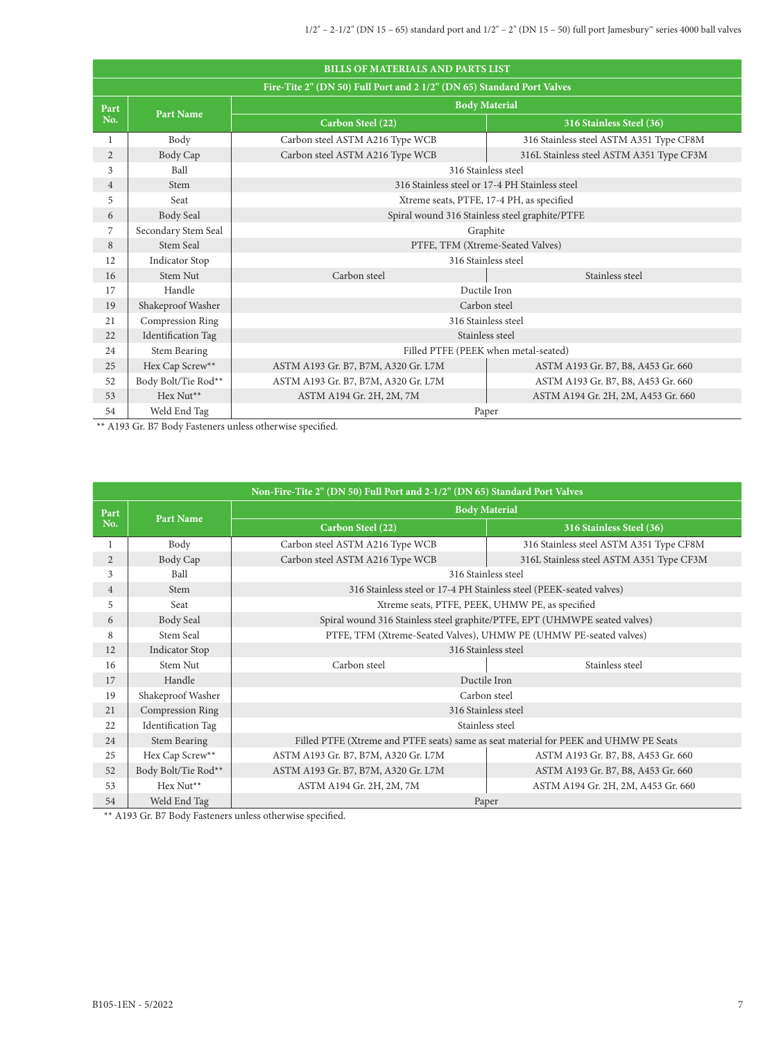|                | <b>BILLS OF MATERIALS AND PARTS LIST</b>                               |                                                |                                                |  |  |  |  |  |
|----------------|------------------------------------------------------------------------|------------------------------------------------|------------------------------------------------|--|--|--|--|--|
|                | Fire-Tite 2" (DN 50) Full Port and 2 1/2" (DN 65) Standard Port Valves |                                                |                                                |  |  |  |  |  |
| Part           |                                                                        | <b>Body Material</b>                           |                                                |  |  |  |  |  |
| No.            | <b>Part Name</b>                                                       | Carbon Steel (22)                              | 316 Stainless Steel (36)                       |  |  |  |  |  |
| 1              | Body                                                                   | Carbon steel ASTM A216 Type WCB                | 316 Stainless steel ASTM A351 Type CF8M        |  |  |  |  |  |
| $\overline{2}$ | Body Cap                                                               | Carbon steel ASTM A216 Type WCB                | 316L Stainless steel ASTM A351 Type CF3M       |  |  |  |  |  |
| 3              | Ball                                                                   | 316 Stainless steel                            |                                                |  |  |  |  |  |
| $\overline{4}$ | Stem                                                                   |                                                | 316 Stainless steel or 17-4 PH Stainless steel |  |  |  |  |  |
| 5              | Seat                                                                   |                                                | Xtreme seats, PTFE, 17-4 PH, as specified      |  |  |  |  |  |
| 6              | Body Seal                                                              | Spiral wound 316 Stainless steel graphite/PTFE |                                                |  |  |  |  |  |
| $\overline{7}$ | Secondary Stem Seal                                                    | Graphite                                       |                                                |  |  |  |  |  |
| 8              | Stem Seal                                                              | PTFE, TFM (Xtreme-Seated Valves)               |                                                |  |  |  |  |  |
| 12             | <b>Indicator Stop</b>                                                  |                                                | 316 Stainless steel                            |  |  |  |  |  |
| 16             | Stem Nut                                                               | Carbon steel                                   | Stainless steel                                |  |  |  |  |  |
| 17             | Handle                                                                 | Ductile Iron                                   |                                                |  |  |  |  |  |
| 19             | Shakeproof Washer                                                      |                                                | Carbon steel                                   |  |  |  |  |  |
| 21             | Compression Ring                                                       | 316 Stainless steel                            |                                                |  |  |  |  |  |
| 22             | <b>Identification Tag</b>                                              |                                                | Stainless steel                                |  |  |  |  |  |
| 24             | <b>Stem Bearing</b>                                                    | Filled PTFE (PEEK when metal-seated)           |                                                |  |  |  |  |  |
| 25             | Hex Cap Screw**                                                        | ASTM A193 Gr. B7, B7M, A320 Gr. L7M            | ASTM A193 Gr. B7, B8, A453 Gr. 660             |  |  |  |  |  |
| 52             | Body Bolt/Tie Rod**                                                    | ASTM A193 Gr. B7, B7M, A320 Gr. L7M            | ASTM A193 Gr. B7, B8, A453 Gr. 660             |  |  |  |  |  |
| 53             | Hex Nut <sup>**</sup>                                                  | ASTM A194 Gr. 2H, 2M, 7M                       | ASTM A194 Gr. 2H, 2M, A453 Gr. 660             |  |  |  |  |  |
| 54             | Weld End Tag                                                           | Paper                                          |                                                |  |  |  |  |  |

\*\* A193 Gr. B7 Body Fasteners unless otherwise specified.

|                | Non-Fire-Tite 2" (DN 50) Full Port and 2-1/2" (DN 65) Standard Port Valves |                                                                   |                                                                                      |  |  |  |  |  |
|----------------|----------------------------------------------------------------------------|-------------------------------------------------------------------|--------------------------------------------------------------------------------------|--|--|--|--|--|
| Part           | <b>Part Name</b>                                                           |                                                                   | <b>Body Material</b>                                                                 |  |  |  |  |  |
| No.            |                                                                            | Carbon Steel (22)                                                 | 316 Stainless Steel (36)                                                             |  |  |  |  |  |
| 1              | Body                                                                       | Carbon steel ASTM A216 Type WCB                                   | 316 Stainless steel ASTM A351 Type CF8M                                              |  |  |  |  |  |
| 2              | Body Cap                                                                   | Carbon steel ASTM A216 Type WCB                                   | 316L Stainless steel ASTM A351 Type CF3M                                             |  |  |  |  |  |
| 3              | Ball                                                                       | 316 Stainless steel                                               |                                                                                      |  |  |  |  |  |
| $\overline{4}$ | Stem                                                                       |                                                                   | 316 Stainless steel or 17-4 PH Stainless steel (PEEK-seated valves)                  |  |  |  |  |  |
| 5              | Seat                                                                       |                                                                   | Xtreme seats, PTFE, PEEK, UHMW PE, as specified                                      |  |  |  |  |  |
| 6              | Body Seal                                                                  |                                                                   | Spiral wound 316 Stainless steel graphite/PTFE, EPT (UHMWPE seated valves)           |  |  |  |  |  |
| 8              | Stem Seal                                                                  | PTFE, TFM (Xtreme-Seated Valves), UHMW PE (UHMW PE-seated valves) |                                                                                      |  |  |  |  |  |
| 12             | <b>Indicator Stop</b>                                                      |                                                                   | 316 Stainless steel                                                                  |  |  |  |  |  |
| 16             | Stem Nut                                                                   | Carbon steel                                                      | Stainless steel                                                                      |  |  |  |  |  |
| 17             | Handle                                                                     |                                                                   | Ductile Iron                                                                         |  |  |  |  |  |
| 19             | Shakeproof Washer                                                          |                                                                   | Carbon steel                                                                         |  |  |  |  |  |
| 21             | <b>Compression Ring</b>                                                    |                                                                   | 316 Stainless steel                                                                  |  |  |  |  |  |
| 22             | Identification Tag                                                         |                                                                   | Stainless steel                                                                      |  |  |  |  |  |
| 24             | Stem Bearing                                                               |                                                                   | Filled PTFE (Xtreme and PTFE seats) same as seat material for PEEK and UHMW PE Seats |  |  |  |  |  |
| 25             | Hex Cap Screw**                                                            | ASTM A193 Gr. B7, B7M, A320 Gr. L7M                               | ASTM A193 Gr. B7, B8, A453 Gr. 660                                                   |  |  |  |  |  |
| 52             | Body Bolt/Tie Rod**                                                        | ASTM A193 Gr. B7, B7M, A320 Gr. L7M                               | ASTM A193 Gr. B7, B8, A453 Gr. 660                                                   |  |  |  |  |  |
| 53             | Hex Nut <sup>**</sup>                                                      | ASTM A194 Gr. 2H, 2M, 7M                                          | ASTM A194 Gr. 2H, 2M, A453 Gr. 660                                                   |  |  |  |  |  |
| 54             | Weld End Tag                                                               |                                                                   | Paper                                                                                |  |  |  |  |  |

 $\rm ^{\ast\ast}$  A193 Gr. B7 Body Fasteners unless otherwise specified.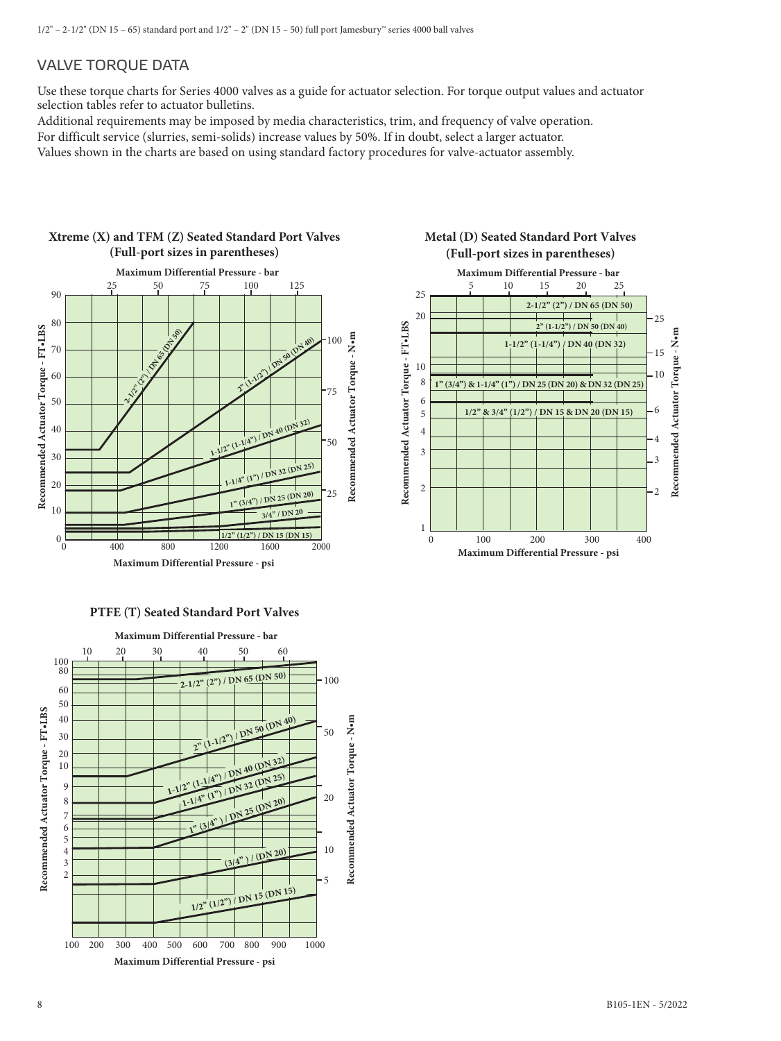# VALVE TORQUE DATA

Use these torque charts for Series 4000 valves as a guide for actuator selection. For torque output values and actuator selection tables refer to actuator bulletins.

Additional requirements may be imposed by media characteristics, trim, and frequency of valve operation.

For difficult service (slurries, semi-solids) increase values by 50%. If in doubt, select a larger actuator.

Values shown in the charts are based on using standard factory procedures for valve-actuator assembly.

### **Xtreme (X) and TFM (Z) Seated Standard Port Valves (Full-port sizes in parentheses)**



#### **Metal (D) Seated Standard Port Valves (Full-port sizes in parentheses)**



#### **PTFE (T) Seated Standard Port Valves**

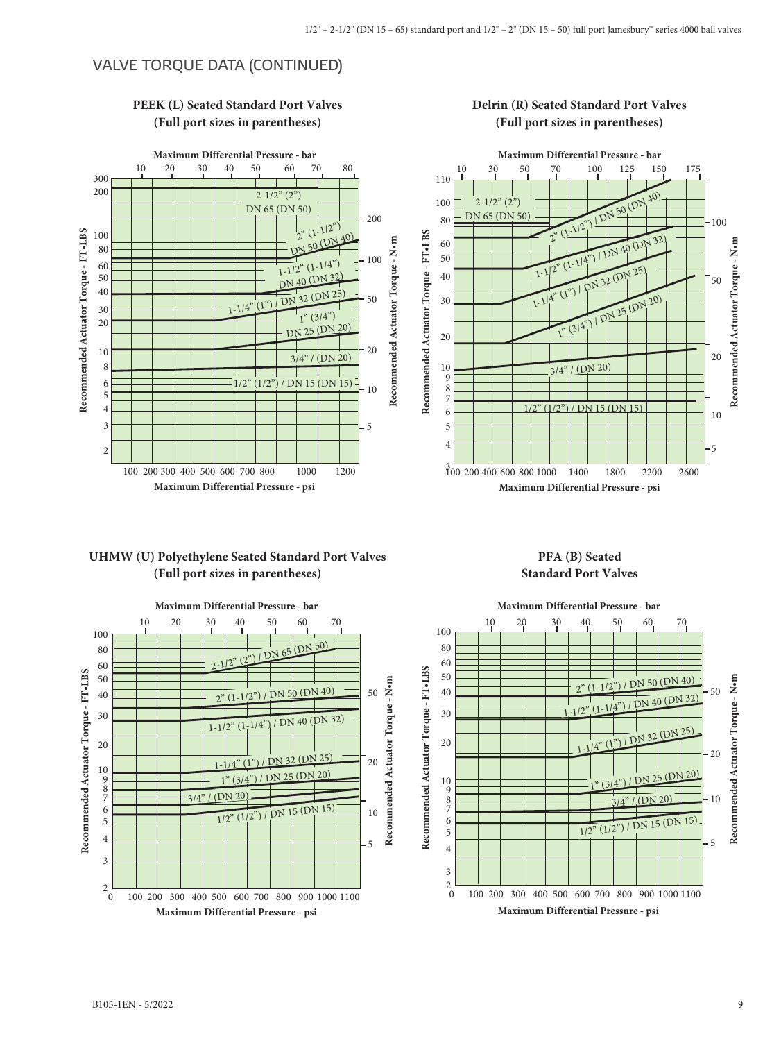# VALVE TORQUE DATA (CONTINUED)



## **PEEK (L) Seated Standard Port Valves (Full port sizes in parentheses)**

# **Delrin (R) Seated Standard Port Valves (Full port sizes in parentheses)**



# **UHMW (U) Polyethylene Seated Standard Port Valves (Full port sizes in parentheses)**



#### **PFA (B) Seated Standard Port Valves**

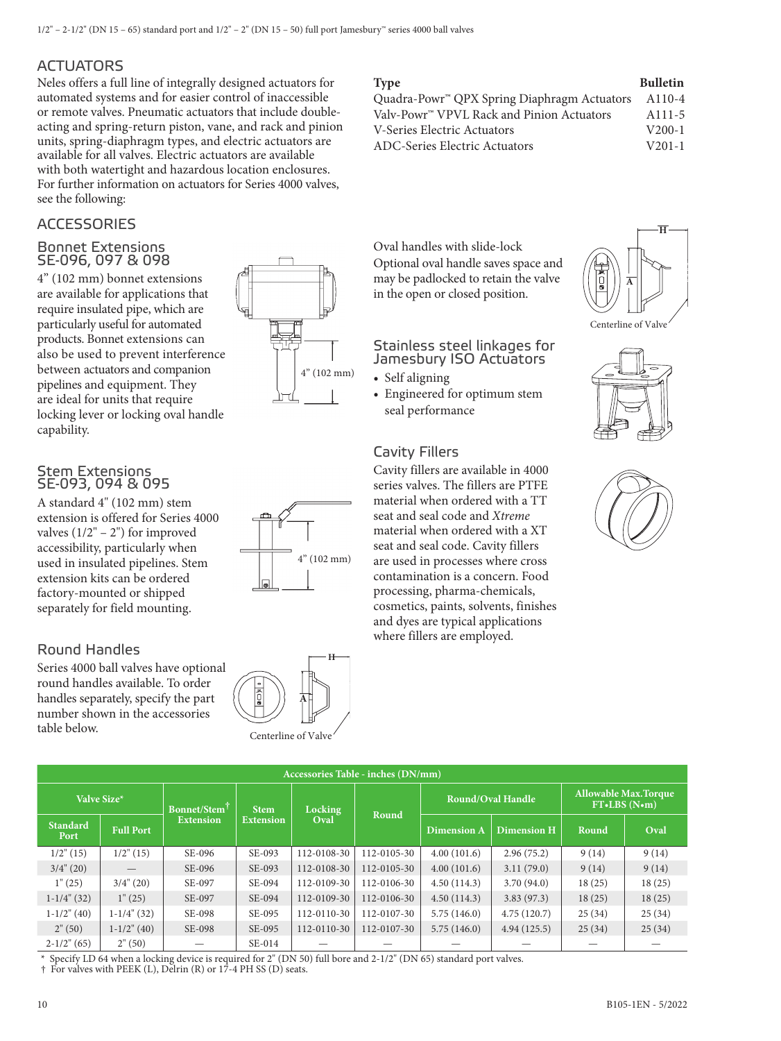# **ACTUATORS**

Neles offers a full line of integrally designed actuators for automated systems and for easier control of inaccessible or remote valves. Pneumatic actuators that include doubleacting and spring-return piston, vane, and rack and pinion units, spring-diaphragm types, and electric actuators are available for all valves. Electric actuators are available with both watertight and hazardous location enclosures. For further information on actuators for Series 4000 valves, see the following:

# **ACCESSORIES**

#### Bonnet Extensions SE-096, 097 & 098

4" (102 mm) bonnet extensions are available for applications that require insulated pipe, which are particularly useful for automated products. Bonnet extensions can also be used to prevent interference between actuators and companion pipelines and equipment. They are ideal for units that require locking lever or locking oval handle capability.

#### Stem Extensions SE-093, 094 & 095

A standard 4" (102 mm) stem extension is offered for Series 4000 valves  $(1/2" - 2")$  for improved accessibility, particularly when used in insulated pipelines. Stem extension kits can be ordered factory-mounted or shipped separately for field mounting.

# Round Handles

Series 4000 ball valves have optional round handles available. To order handles separately, specify the part number shown in the accessories table below.





Centerline of Valv

**A**

**H**



| Quadra-Powr™ QPX Spring Diaphragm Actuators | A110-4              |
|---------------------------------------------|---------------------|
| Valv-Powr™ VPVL Rack and Pinion Actuators   | A <sub>111</sub> -5 |
| V-Series Electric Actuators                 | $V200-1$            |
| ADC-Series Electric Actuators               | $V_{201-1}$         |

Oval handles with slide-lock Optional oval handle saves space and may be padlocked to retain the valve in the open or closed position.

# Stainless steel linkages for Jamesbury ISO Actuators

- **•** Self aligning
- **•** Engineered for optimum stem seal performance

# Cavity Fillers

Cavity fillers are available in 4000 series valves. The fillers are PTFE material when ordered with a TT seat and seal code and *Xtreme* material when ordered with a XT seat and seal code. Cavity fillers are used in processes where cross contamination is a concern. Food processing, pharma-chemicals, cosmetics, paints, solvents, finishes and dyes are typical applications where fillers are employed.







|                         | Accessories Table - inches (DN/mm) |                          |                  |                |             |                    |                          |                                              |        |  |
|-------------------------|------------------------------------|--------------------------|------------------|----------------|-------------|--------------------|--------------------------|----------------------------------------------|--------|--|
| Valve Size*             |                                    | Bonnet/Stem <sup>†</sup> | <b>Stem</b>      | <b>Locking</b> | Round       |                    | <b>Round/Oval Handle</b> | <b>Allowable Max. Torque</b><br>FT.LBS (N.m) |        |  |
| <b>Standard</b><br>Port | <b>Full Port</b>                   | <b>Extension</b>         | <b>Extension</b> | Oval           |             | <b>Dimension A</b> | <b>Dimension H</b>       | Round                                        | Oval   |  |
| $1/2$ " (15)            | $1/2$ " (15)                       | SE-096                   | SE-093           | 112-0108-30    | 112-0105-30 | 4.00(101.6)        | 2.96(75.2)               | 9(14)                                        | 9(14)  |  |
| $3/4$ " (20)            |                                    | SE-096                   | SE-093           | 112-0108-30    | 112-0105-30 | 4.00(101.6)        | 3.11(79.0)               | 9(14)                                        | 9(14)  |  |
| 1"(25)                  | $3/4$ " (20)                       | SE-097                   | SE-094           | 112-0109-30    | 112-0106-30 | 4.50(114.3)        | 3.70(94.0)               | 18(25)                                       | 18(25) |  |
| $1-1/4$ " (32)          | 1"(25)                             | SE-097                   | SE-094           | 112-0109-30    | 112-0106-30 | 4.50(114.3)        | 3.83(97.3)               | 18(25)                                       | 18(25) |  |
| $1-1/2$ " (40)          | $1-1/4$ " (32)                     | SE-098                   | SE-095           | 112-0110-30    | 112-0107-30 | 5.75(146.0)        | 4.75(120.7)              | 25(34)                                       | 25(34) |  |
| 2" (50)                 | $1-1/2$ " (40)                     | SE-098                   | SE-095           | 112-0110-30    | 112-0107-30 | 5.75(146.0)        | 4.94(125.5)              | 25(34)                                       | 25(34) |  |
| $2-1/2$ " (65)          | 2" (50)                            |                          | $SE-014$         |                |             |                    |                          |                                              |        |  |

\* Specify LD 64 when a locking device is required for 2" (DN 50) full bore and 2-1/2" (DN 65) standard port valves. † For valves with PEEK (L), Delrin (R) or 17-4 PH SS (D) seats.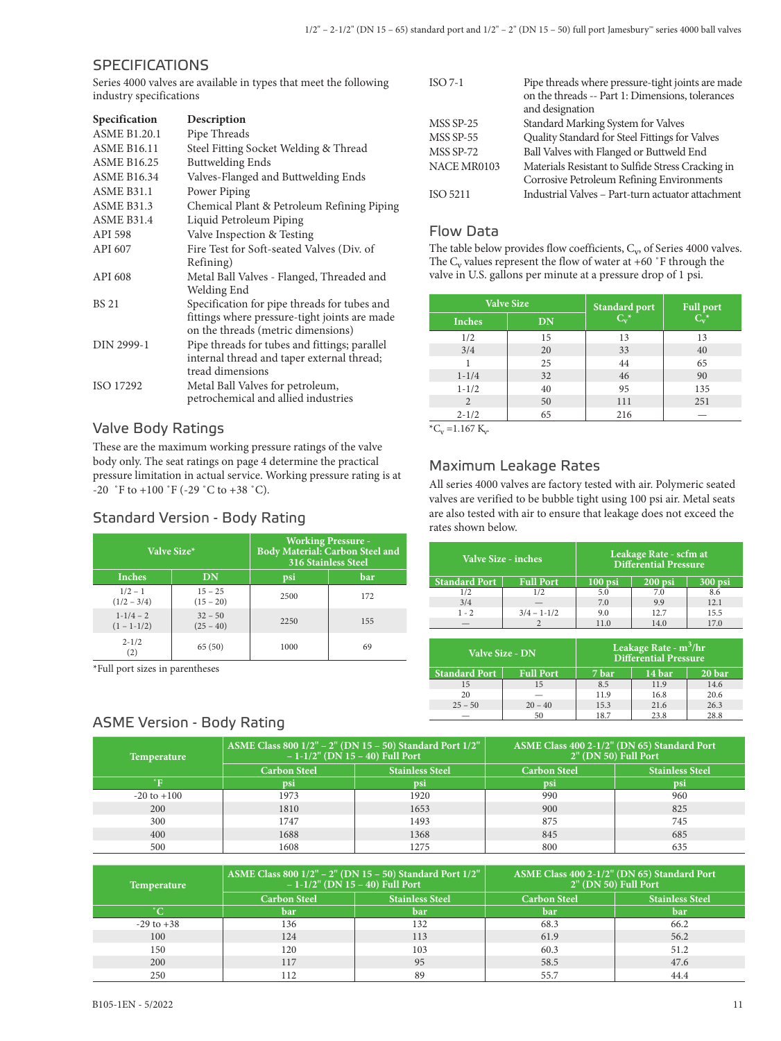# **SPECIFICATIONS**

Series 4000 valves are available in types that meet the following industry specifications

| Specification       | Description                                   |
|---------------------|-----------------------------------------------|
| <b>ASME B1.20.1</b> | Pipe Threads                                  |
| <b>ASME B16.11</b>  | Steel Fitting Socket Welding & Thread         |
| <b>ASME B16.25</b>  | <b>Buttwelding Ends</b>                       |
| <b>ASME B16.34</b>  | Valves-Flanged and Buttwelding Ends           |
| <b>ASME B31.1</b>   | Power Piping                                  |
| <b>ASME B31.3</b>   | Chemical Plant & Petroleum Refining Piping    |
| ASME B31.4          | Liquid Petroleum Piping                       |
| API 598             | Valve Inspection & Testing                    |
| API 607             | Fire Test for Soft-seated Valves (Div. of     |
|                     | Refining)                                     |
| API 608             | Metal Ball Valves - Flanged, Threaded and     |
|                     | Welding End                                   |
| <b>BS 21</b>        | Specification for pipe threads for tubes and  |
|                     | fittings where pressure-tight joints are made |
|                     | on the threads (metric dimensions)            |
| DIN 2999-1          | Pipe threads for tubes and fittings; parallel |
|                     | internal thread and taper external thread;    |
|                     | tread dimensions                              |
| ISO 17292           | Metal Ball Valves for petroleum,              |
|                     | petrochemical and allied industries           |

#### Valve Body Ratings

These are the maximum working pressure ratings of the valve body only. The seat ratings on page 4 determine the practical pressure limitation in actual service. Working pressure rating is at  $-20$  °F to  $+100$  °F ( $-29$  °C to  $+38$  °C).

# Standard Version - Body Rating

|                                  | Valve Size*              | <b>Working Pressure -</b><br>Body Material: Carbon Steel and<br><b>316 Stainless Steel</b> |     |  |  |  |
|----------------------------------|--------------------------|--------------------------------------------------------------------------------------------|-----|--|--|--|
| <b>Inches</b>                    | DN                       | psi                                                                                        | bar |  |  |  |
| $1/2 - 1$<br>$(1/2 - 3/4)$       | $15 - 25$<br>$(15 - 20)$ | 2500                                                                                       | 172 |  |  |  |
| $1 - 1/4 - 2$<br>$(1 - 1 - 1/2)$ | $32 - 50$<br>$(25 - 40)$ | 2250                                                                                       | 155 |  |  |  |
| $2 - 1/2$<br>$\left( 2\right)$   | 65(50)                   | 1000                                                                                       | 69  |  |  |  |

\*Full port sizes in parentheses

# ASME Version - Body Rating

| $ISO 7-1$   | Pipe threads where pressure-tight joints are made<br>on the threads -- Part 1: Dimensions, tolerances<br>and designation |
|-------------|--------------------------------------------------------------------------------------------------------------------------|
| MSS SP-25   | Standard Marking System for Valves                                                                                       |
| MSS SP-55   | Quality Standard for Steel Fittings for Valves                                                                           |
| MSS SP-72   | Ball Valves with Flanged or Buttweld End                                                                                 |
| NACE MR0103 | Materials Resistant to Sulfide Stress Cracking in<br>Corrosive Petroleum Refining Environments                           |
| ISO 5211    | Industrial Valves - Part-turn actuator attachment                                                                        |

# Flow Data

The table below provides flow coefficients,  $C_v$ , of Series 4000 valves. The  $C_v$  values represent the flow of water at +60 °F through the valve in U.S. gallons per minute at a pressure drop of 1 psi.

|                                            | <b>Valve Size</b> | <b>Standard port</b> | <b>Full port</b> |  |
|--------------------------------------------|-------------------|----------------------|------------------|--|
| <b>Inches</b>                              | <b>DN</b>         | $C_v^*$              | $C_v^*$          |  |
| 1/2                                        | 15                | 13                   | 13               |  |
| 3/4                                        | 20                | 33                   | 40               |  |
|                                            | 25                | 44                   | 65               |  |
| $1 - 1/4$                                  | 32                | 46                   | 90               |  |
| $1 - 1/2$                                  | 40                | 95                   | 135              |  |
| 2                                          | 50                | 111                  | 251              |  |
| $2 - 1/2$<br>the control of the control of | 65                | 216                  |                  |  |

 ${^{\ast}C_{v}} = 1.167 \text{ K}_{v}$ 

# Maximum Leakage Rates

All series 4000 valves are factory tested with air. Polymeric seated valves are verified to be bubble tight using 100 psi air. Metal seats are also tested with air to ensure that leakage does not exceed the rates shown below.

|                      | Valve Size - inches | Leakage Rate - scfm at<br><b>Differential Pressure</b> |           |         |  |  |  |
|----------------------|---------------------|--------------------------------------------------------|-----------|---------|--|--|--|
| <b>Standard Port</b> | <b>Full Port</b>    | $100$ psi                                              | $200$ psi | 300 psi |  |  |  |
| 1/2                  | 1/2                 | 5.0                                                    | 7.0       | 8.6     |  |  |  |
| 3/4                  |                     | 7.0                                                    | 9.9       | 12.1    |  |  |  |
| $1 - 2$              | $3/4 - 1 - 1/2$     | 9.0                                                    | 12.7      | 15.5    |  |  |  |
|                      |                     | 11.0                                                   | 14.0      | 17.0    |  |  |  |

|                      | <b>Valve Size - DN</b> | Leakage Rate - m <sup>3</sup> /hr<br><b>Differential Pressure</b> |        |      |  |  |
|----------------------|------------------------|-------------------------------------------------------------------|--------|------|--|--|
| <b>Standard Port</b> | <b>Full Port</b>       | 7 bar                                                             | 20 bar |      |  |  |
| 15                   | 15                     | 8.5                                                               | 11.9   | 14.6 |  |  |
| 20                   |                        | 11.9                                                              | 16.8   | 20.6 |  |  |
| $25 - 50$            | $20 - 40$              | 15.3                                                              | 21.6   | 26.3 |  |  |
|                      | 50                     | 18.7                                                              | 23.8   | 28.8 |  |  |

| <b>Temperature</b> | ASME Class 800 1/2" - 2" (DN 15 - 50) Standard Port 1/2"  <br>$-1-1/2$ " (DN 15 – 40) Full Port |                        | ASME Class 400 2-1/2" (DN 65) Standard Port<br>2" (DN 50) Full Port |                        |  |
|--------------------|-------------------------------------------------------------------------------------------------|------------------------|---------------------------------------------------------------------|------------------------|--|
|                    | <b>Carbon Steel</b>                                                                             | <b>Stainless Steel</b> | <b>Carbon Steel</b>                                                 | <b>Stainless Steel</b> |  |
|                    | psi                                                                                             | psi                    | psi                                                                 | <b>psi</b>             |  |
| $-20$ to $+100$    | 1973                                                                                            | 1920                   | 990                                                                 | 960                    |  |
| 200                | 1810                                                                                            | 1653                   | 900                                                                 | 825                    |  |
| 300                | 1747                                                                                            | 1493                   | 875                                                                 | 745                    |  |
| 400                | 1688                                                                                            | 1368                   | 845                                                                 | 685                    |  |
| 500                | 1608                                                                                            | 275                    | 800                                                                 | 635                    |  |

| <b>Temperature</b> | ASME Class 800 1/2" - 2" (DN 15 - 50) Standard Port 1/2"<br>$-1-1/2$ " (DN 15 - 40) Full Port |                        | ASME Class 400 2-1/2" (DN 65) Standard Port<br>$2"$ (DN 50) Full Port |                        |  |
|--------------------|-----------------------------------------------------------------------------------------------|------------------------|-----------------------------------------------------------------------|------------------------|--|
|                    | <b>Carbon Steel</b>                                                                           | <b>Stainless Steel</b> | <b>Carbon Steel</b>                                                   | <b>Stainless Steel</b> |  |
|                    | bar                                                                                           | bar                    | bar                                                                   | bar                    |  |
| $-29$ to $+38$     | 136                                                                                           | 132                    | 68.3                                                                  | 66.2                   |  |
| 100                | 124                                                                                           | 113                    | 61.9                                                                  | 56.2                   |  |
| 150                | 120                                                                                           | 103                    | 60.3                                                                  | 51.2                   |  |
| 200                | 117                                                                                           | 95                     | 58.5                                                                  | 47.6                   |  |
| 250                | 112                                                                                           | 89                     | 55.7                                                                  | 44.4                   |  |